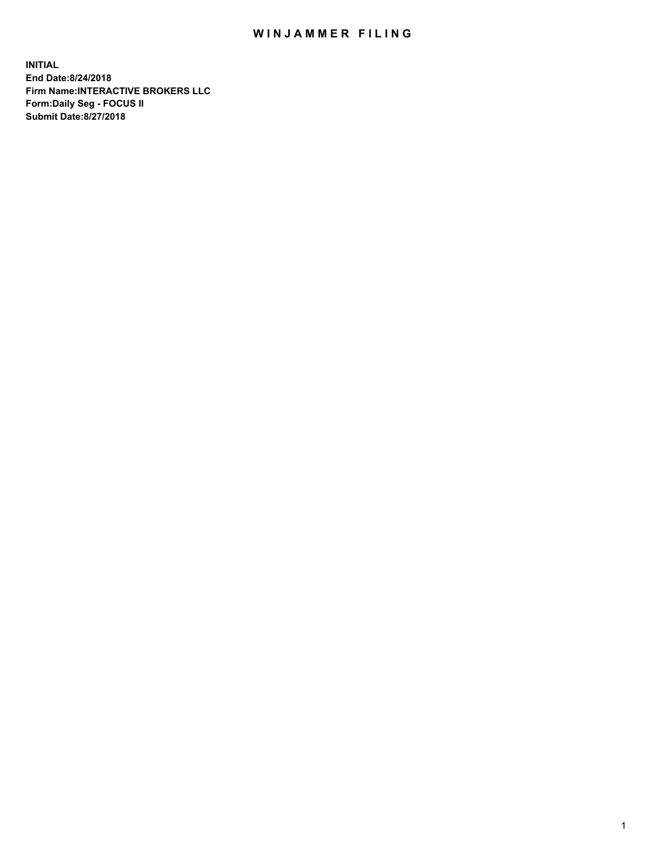## WIN JAMMER FILING

**INITIAL End Date:8/24/2018 Firm Name:INTERACTIVE BROKERS LLC Form:Daily Seg - FOCUS II Submit Date:8/27/2018**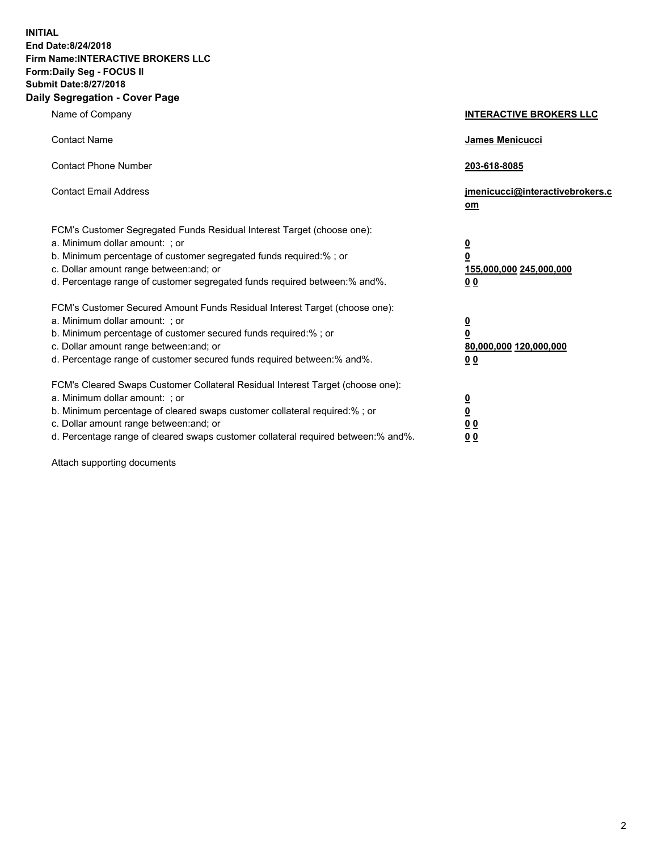**INITIAL End Date:8/24/2018 Firm Name:INTERACTIVE BROKERS LLC Form:Daily Seg - FOCUS II Submit Date:8/27/2018 Daily Segregation - Cover Page**

| Name of Company                                                                                                                                                                                                                                                                                                               | <b>INTERACTIVE BROKERS LLC</b>                                                                  |
|-------------------------------------------------------------------------------------------------------------------------------------------------------------------------------------------------------------------------------------------------------------------------------------------------------------------------------|-------------------------------------------------------------------------------------------------|
| <b>Contact Name</b>                                                                                                                                                                                                                                                                                                           | <b>James Menicucci</b>                                                                          |
| <b>Contact Phone Number</b>                                                                                                                                                                                                                                                                                                   | 203-618-8085                                                                                    |
| <b>Contact Email Address</b>                                                                                                                                                                                                                                                                                                  | jmenicucci@interactivebrokers.c<br>$om$                                                         |
| FCM's Customer Segregated Funds Residual Interest Target (choose one):<br>a. Minimum dollar amount: ; or<br>b. Minimum percentage of customer segregated funds required:% ; or<br>c. Dollar amount range between: and; or<br>d. Percentage range of customer segregated funds required between:% and%.                        | $\overline{\mathbf{0}}$<br>$\overline{\mathbf{0}}$<br>155,000,000 245,000,000<br>0 <sub>0</sub> |
| FCM's Customer Secured Amount Funds Residual Interest Target (choose one):<br>a. Minimum dollar amount: ; or<br>b. Minimum percentage of customer secured funds required:%; or<br>c. Dollar amount range between: and; or<br>d. Percentage range of customer secured funds required between:% and%.                           | $\overline{\mathbf{0}}$<br>$\pmb{0}$<br>80,000,000 120,000,000<br>0 <sub>0</sub>                |
| FCM's Cleared Swaps Customer Collateral Residual Interest Target (choose one):<br>a. Minimum dollar amount: ; or<br>b. Minimum percentage of cleared swaps customer collateral required:%; or<br>c. Dollar amount range between: and; or<br>d. Percentage range of cleared swaps customer collateral required between:% and%. | $\overline{\mathbf{0}}$<br><u>0</u><br>0 <sub>0</sub><br>00                                     |

Attach supporting documents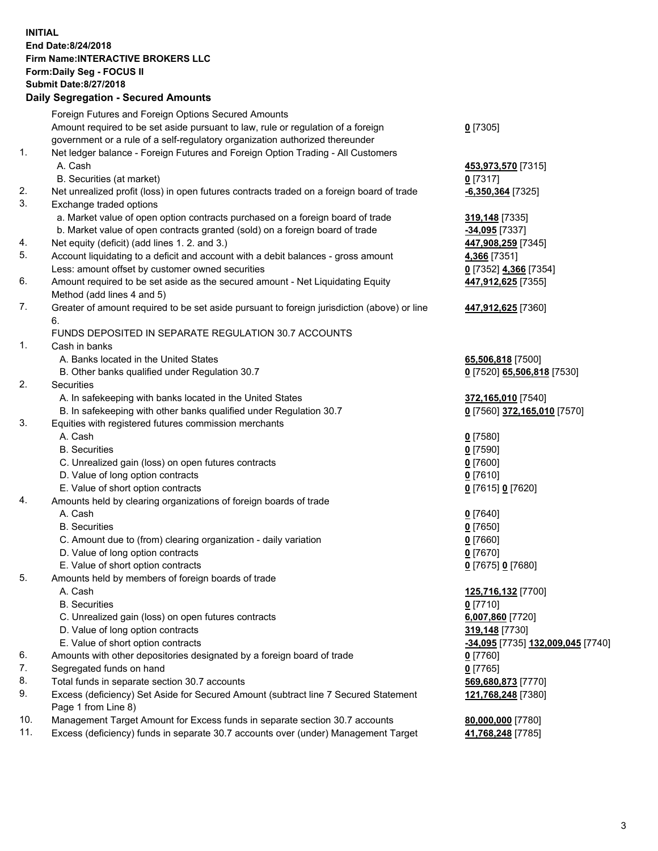## **INITIAL End Date:8/24/2018 Firm Name:INTERACTIVE BROKERS LLC Form:Daily Seg - FOCUS II Submit Date:8/27/2018 Daily Segregation - Secured Amounts**

|                | Daily Segregation - Secured Amounts                                                                  |                                   |
|----------------|------------------------------------------------------------------------------------------------------|-----------------------------------|
|                | Foreign Futures and Foreign Options Secured Amounts                                                  |                                   |
|                | Amount required to be set aside pursuant to law, rule or regulation of a foreign                     | $0$ [7305]                        |
|                | government or a rule of a self-regulatory organization authorized thereunder                         |                                   |
| $\mathbf{1}$ . | Net ledger balance - Foreign Futures and Foreign Option Trading - All Customers                      |                                   |
|                | A. Cash                                                                                              | 453,973,570 [7315]                |
|                | B. Securities (at market)                                                                            | $0$ [7317]                        |
| 2.             | Net unrealized profit (loss) in open futures contracts traded on a foreign board of trade            | $-6,350,364$ [7325]               |
| 3.             | Exchange traded options                                                                              |                                   |
|                | a. Market value of open option contracts purchased on a foreign board of trade                       | 319,148 [7335]                    |
|                | b. Market value of open contracts granted (sold) on a foreign board of trade                         | -34,095 [7337]                    |
| 4.             | Net equity (deficit) (add lines 1. 2. and 3.)                                                        | 447,908,259 [7345]                |
| 5.             | Account liquidating to a deficit and account with a debit balances - gross amount                    | 4,366 [7351]                      |
|                | Less: amount offset by customer owned securities                                                     | 0 [7352] 4,366 [7354]             |
| 6.             | Amount required to be set aside as the secured amount - Net Liquidating Equity                       | 447,912,625 [7355]                |
|                | Method (add lines 4 and 5)                                                                           |                                   |
| 7.             | Greater of amount required to be set aside pursuant to foreign jurisdiction (above) or line          | 447,912,625 [7360]                |
|                | 6.                                                                                                   |                                   |
|                | FUNDS DEPOSITED IN SEPARATE REGULATION 30.7 ACCOUNTS                                                 |                                   |
| 1.             | Cash in banks                                                                                        |                                   |
|                | A. Banks located in the United States                                                                | 65,506,818 [7500]                 |
|                | B. Other banks qualified under Regulation 30.7                                                       | 0 [7520] 65,506,818 [7530]        |
| 2.             | <b>Securities</b>                                                                                    |                                   |
|                | A. In safekeeping with banks located in the United States                                            | 372,165,010 [7540]                |
|                | B. In safekeeping with other banks qualified under Regulation 30.7                                   | 0 [7560] 372,165,010 [7570]       |
| 3.             | Equities with registered futures commission merchants                                                |                                   |
|                | A. Cash                                                                                              | $0$ [7580]                        |
|                | <b>B.</b> Securities                                                                                 | $0$ [7590]                        |
|                | C. Unrealized gain (loss) on open futures contracts                                                  | $0$ [7600]                        |
|                | D. Value of long option contracts                                                                    | $0$ [7610]                        |
|                | E. Value of short option contracts                                                                   | 0 [7615] 0 [7620]                 |
| 4.             | Amounts held by clearing organizations of foreign boards of trade<br>A. Cash                         |                                   |
|                |                                                                                                      | $0$ [7640]                        |
|                | <b>B.</b> Securities                                                                                 | $0$ [7650]                        |
|                | C. Amount due to (from) clearing organization - daily variation<br>D. Value of long option contracts | $0$ [7660]<br>$0$ [7670]          |
|                | E. Value of short option contracts                                                                   | 0 [7675] 0 [7680]                 |
| 5.             | Amounts held by members of foreign boards of trade                                                   |                                   |
|                | A. Cash                                                                                              | 125,716,132 [7700]                |
|                | <b>B.</b> Securities                                                                                 | $0$ [7710]                        |
|                | C. Unrealized gain (loss) on open futures contracts                                                  | 6,007,860 [7720]                  |
|                | D. Value of long option contracts                                                                    | 319,148 [7730]                    |
|                | E. Value of short option contracts                                                                   | -34,095 [7735] 132,009,045 [7740] |
| 6.             | Amounts with other depositories designated by a foreign board of trade                               | $0$ [7760]                        |
| 7.             | Segregated funds on hand                                                                             | $0$ [7765]                        |
| 8.             | Total funds in separate section 30.7 accounts                                                        | 569,680,873 [7770]                |
| 9.             | Excess (deficiency) Set Aside for Secured Amount (subtract line 7 Secured Statement                  | 121,768,248 [7380]                |
|                | Page 1 from Line 8)                                                                                  |                                   |
| 10.            | Management Target Amount for Excess funds in separate section 30.7 accounts                          | 80,000,000 [7780]                 |
| 11.            | Excess (deficiency) funds in separate 30.7 accounts over (under) Management Target                   | 41,768,248 [7785]                 |
|                |                                                                                                      |                                   |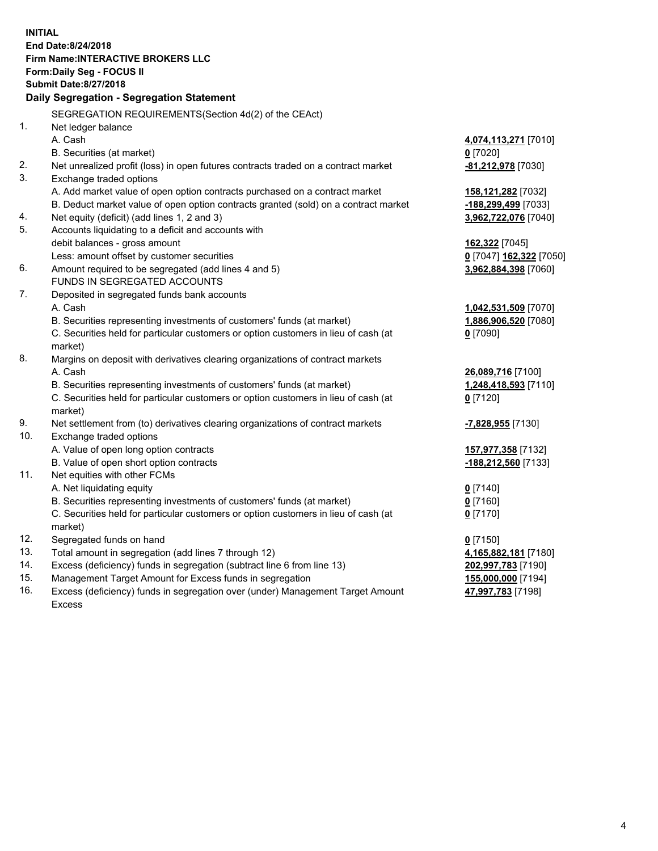**INITIAL End Date:8/24/2018 Firm Name:INTERACTIVE BROKERS LLC Form:Daily Seg - FOCUS II Submit Date:8/27/2018 Daily Segregation - Segregation Statement** SEGREGATION REQUIREMENTS(Section 4d(2) of the CEAct) 1. Net ledger balance A. Cash **4,074,113,271** [7010] B. Securities (at market) **0** [7020] 2. Net unrealized profit (loss) in open futures contracts traded on a contract market **-81,212,978** [7030] 3. Exchange traded options A. Add market value of open option contracts purchased on a contract market **158,121,282** [7032] B. Deduct market value of open option contracts granted (sold) on a contract market **-188,299,499** [7033] 4. Net equity (deficit) (add lines 1, 2 and 3) **3,962,722,076** [7040] 5. Accounts liquidating to a deficit and accounts with debit balances - gross amount **162,322** [7045] Less: amount offset by customer securities **0** [7047] **162,322** [7050] 6. Amount required to be segregated (add lines 4 and 5) **3,962,884,398** [7060] FUNDS IN SEGREGATED ACCOUNTS 7. Deposited in segregated funds bank accounts A. Cash **1,042,531,509** [7070] B. Securities representing investments of customers' funds (at market) **1,886,906,520** [7080] C. Securities held for particular customers or option customers in lieu of cash (at market) **0** [7090] 8. Margins on deposit with derivatives clearing organizations of contract markets A. Cash **26,089,716** [7100] B. Securities representing investments of customers' funds (at market) **1,248,418,593** [7110] C. Securities held for particular customers or option customers in lieu of cash (at market) **0** [7120] 9. Net settlement from (to) derivatives clearing organizations of contract markets **-7,828,955** [7130] 10. Exchange traded options A. Value of open long option contracts **157,977,358** [7132] B. Value of open short option contracts **-188,212,560** [7133] 11. Net equities with other FCMs A. Net liquidating equity **0** [7140] B. Securities representing investments of customers' funds (at market) **0** [7160] C. Securities held for particular customers or option customers in lieu of cash (at market) **0** [7170] 12. Segregated funds on hand **0** [7150] 13. Total amount in segregation (add lines 7 through 12) **4,165,882,181** [7180] 14. Excess (deficiency) funds in segregation (subtract line 6 from line 13) **202,997,783** [7190] 15. Management Target Amount for Excess funds in segregation **155,000,000** [7194] **47,997,783** [7198]

16. Excess (deficiency) funds in segregation over (under) Management Target Amount Excess